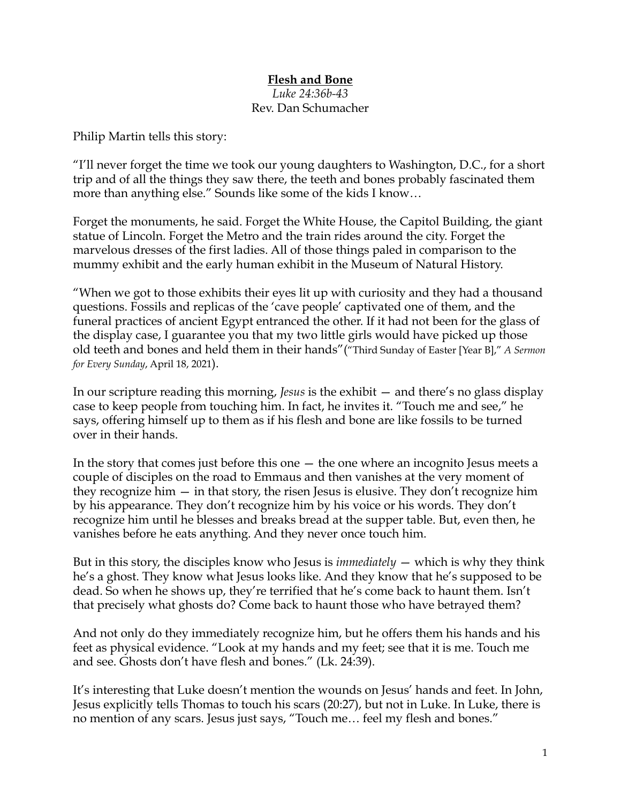## **Flesh and Bone**

*Luke 24:36b-43* Rev. Dan Schumacher

Philip Martin tells this story:

"I'll never forget the time we took our young daughters to Washington, D.C., for a short trip and of all the things they saw there, the teeth and bones probably fascinated them more than anything else." Sounds like some of the kids I know…

Forget the monuments, he said. Forget the White House, the Capitol Building, the giant statue of Lincoln. Forget the Metro and the train rides around the city. Forget the marvelous dresses of the first ladies. All of those things paled in comparison to the mummy exhibit and the early human exhibit in the Museum of Natural History.

"When we got to those exhibits their eyes lit up with curiosity and they had a thousand questions. Fossils and replicas of the 'cave people' captivated one of them, and the funeral practices of ancient Egypt entranced the other. If it had not been for the glass of the display case, I guarantee you that my two little girls would have picked up those old teeth and bones and held them in their hands"("Third Sunday of Easter [Year B]," *A Sermon for Every Sunday*, April 18, 2021).

In our scripture reading this morning, *Jesus* is the exhibit — and there's no glass display case to keep people from touching him. In fact, he invites it. "Touch me and see," he says, offering himself up to them as if his flesh and bone are like fossils to be turned over in their hands.

In the story that comes just before this one  $-$  the one where an incognito Jesus meets a couple of disciples on the road to Emmaus and then vanishes at the very moment of they recognize him — in that story, the risen Jesus is elusive. They don't recognize him by his appearance. They don't recognize him by his voice or his words. They don't recognize him until he blesses and breaks bread at the supper table. But, even then, he vanishes before he eats anything. And they never once touch him.

But in this story, the disciples know who Jesus is *immediately* — which is why they think he's a ghost. They know what Jesus looks like. And they know that he's supposed to be dead. So when he shows up, they're terrified that he's come back to haunt them. Isn't that precisely what ghosts do? Come back to haunt those who have betrayed them?

And not only do they immediately recognize him, but he offers them his hands and his feet as physical evidence. "Look at my hands and my feet; see that it is me. Touch me and see. Ghosts don't have flesh and bones." (Lk. 24:39).

It's interesting that Luke doesn't mention the wounds on Jesus' hands and feet. In John, Jesus explicitly tells Thomas to touch his scars (20:27), but not in Luke. In Luke, there is no mention of any scars. Jesus just says, "Touch me… feel my flesh and bones."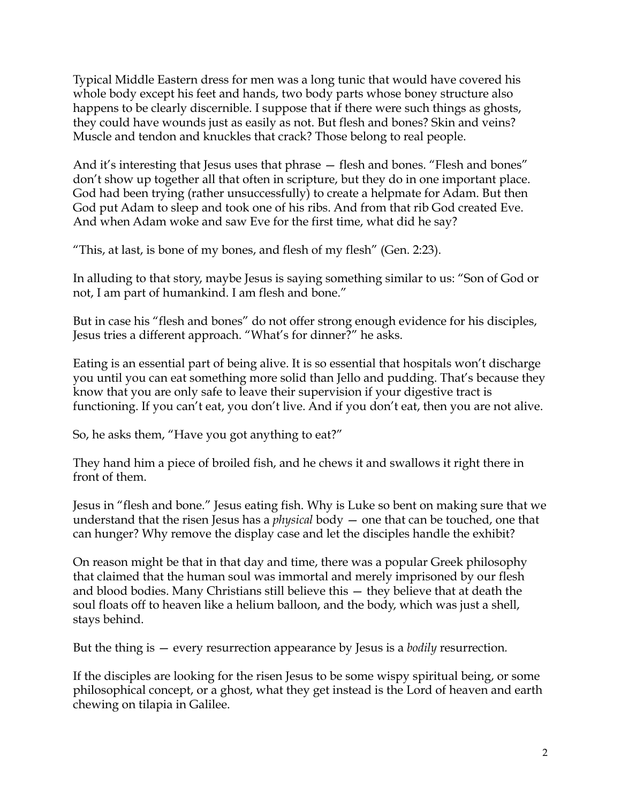Typical Middle Eastern dress for men was a long tunic that would have covered his whole body except his feet and hands, two body parts whose boney structure also happens to be clearly discernible. I suppose that if there were such things as ghosts, they could have wounds just as easily as not. But flesh and bones? Skin and veins? Muscle and tendon and knuckles that crack? Those belong to real people.

And it's interesting that Jesus uses that phrase — flesh and bones. "Flesh and bones" don't show up together all that often in scripture, but they do in one important place. God had been trying (rather unsuccessfully) to create a helpmate for Adam. But then God put Adam to sleep and took one of his ribs. And from that rib God created Eve. And when Adam woke and saw Eve for the first time, what did he say?

"This, at last, is bone of my bones, and flesh of my flesh" (Gen. 2:23).

In alluding to that story, maybe Jesus is saying something similar to us: "Son of God or not, I am part of humankind. I am flesh and bone."

But in case his "flesh and bones" do not offer strong enough evidence for his disciples, Jesus tries a different approach. "What's for dinner?" he asks.

Eating is an essential part of being alive. It is so essential that hospitals won't discharge you until you can eat something more solid than Jello and pudding. That's because they know that you are only safe to leave their supervision if your digestive tract is functioning. If you can't eat, you don't live. And if you don't eat, then you are not alive.

So, he asks them, "Have you got anything to eat?"

They hand him a piece of broiled fish, and he chews it and swallows it right there in front of them.

Jesus in "flesh and bone." Jesus eating fish. Why is Luke so bent on making sure that we understand that the risen Jesus has a *physical* body — one that can be touched, one that can hunger? Why remove the display case and let the disciples handle the exhibit?

On reason might be that in that day and time, there was a popular Greek philosophy that claimed that the human soul was immortal and merely imprisoned by our flesh and blood bodies. Many Christians still believe this — they believe that at death the soul floats off to heaven like a helium balloon, and the body, which was just a shell, stays behind.

But the thing is — every resurrection appearance by Jesus is a *bodily* resurrection*.* 

If the disciples are looking for the risen Jesus to be some wispy spiritual being, or some philosophical concept, or a ghost, what they get instead is the Lord of heaven and earth chewing on tilapia in Galilee.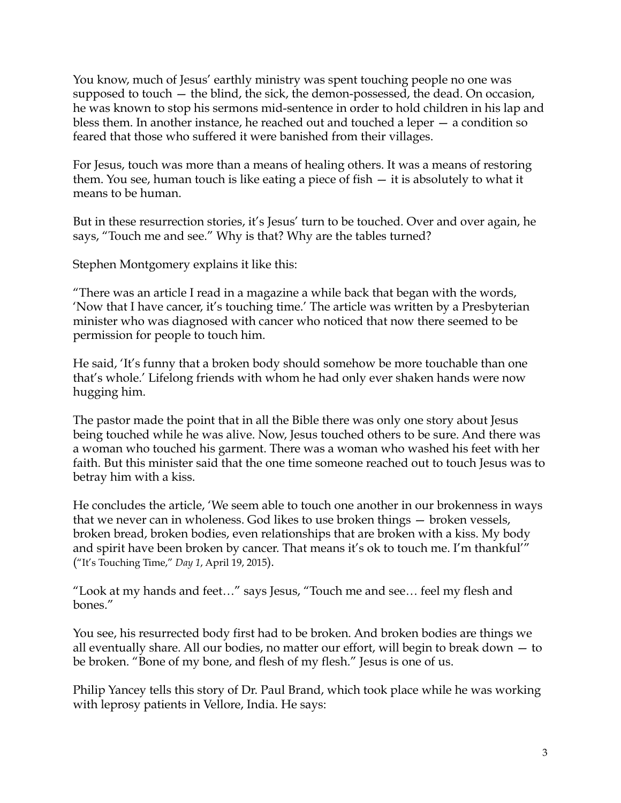You know, much of Jesus' earthly ministry was spent touching people no one was supposed to touch — the blind, the sick, the demon-possessed, the dead. On occasion, he was known to stop his sermons mid-sentence in order to hold children in his lap and bless them. In another instance, he reached out and touched a leper — a condition so feared that those who suffered it were banished from their villages.

For Jesus, touch was more than a means of healing others. It was a means of restoring them. You see, human touch is like eating a piece of fish  $-$  it is absolutely to what it means to be human.

But in these resurrection stories, it's Jesus' turn to be touched. Over and over again, he says, "Touch me and see." Why is that? Why are the tables turned?

Stephen Montgomery explains it like this:

"There was an article I read in a magazine a while back that began with the words, 'Now that I have cancer, it's touching time.' The article was written by a Presbyterian minister who was diagnosed with cancer who noticed that now there seemed to be permission for people to touch him.

He said, 'It's funny that a broken body should somehow be more touchable than one that's whole.' Lifelong friends with whom he had only ever shaken hands were now hugging him.

The pastor made the point that in all the Bible there was only one story about Jesus being touched while he was alive. Now, Jesus touched others to be sure. And there was a woman who touched his garment. There was a woman who washed his feet with her faith. But this minister said that the one time someone reached out to touch Jesus was to betray him with a kiss.

He concludes the article, 'We seem able to touch one another in our brokenness in ways that we never can in wholeness. God likes to use broken things — broken vessels, broken bread, broken bodies, even relationships that are broken with a kiss. My body and spirit have been broken by cancer. That means it's ok to touch me. I'm thankful'" ("It's Touching Time," *Day 1*, April 19, 2015).

"Look at my hands and feet…" says Jesus, "Touch me and see… feel my flesh and bones."

You see, his resurrected body first had to be broken. And broken bodies are things we all eventually share. All our bodies, no matter our effort, will begin to break down — to be broken. "Bone of my bone, and flesh of my flesh." Jesus is one of us.

Philip Yancey tells this story of Dr. Paul Brand, which took place while he was working with leprosy patients in Vellore, India. He says: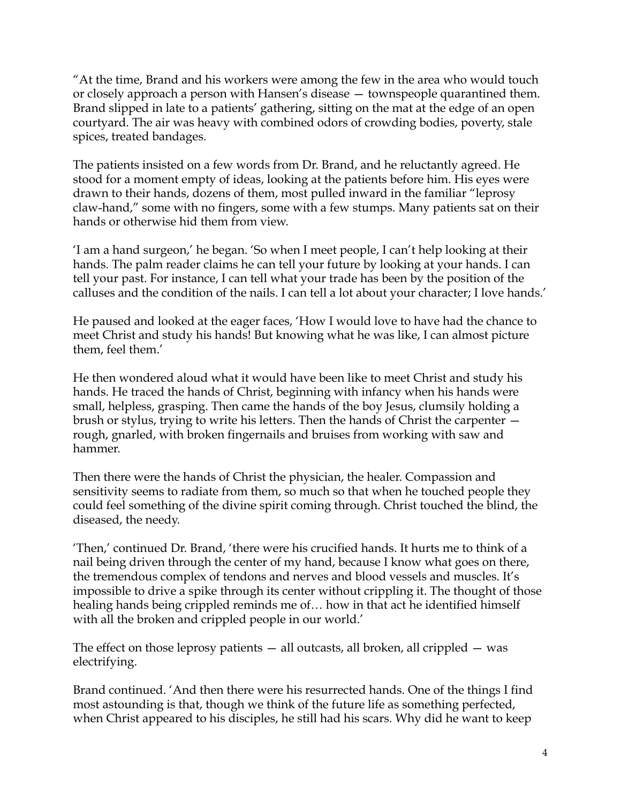"At the time, Brand and his workers were among the few in the area who would touch or closely approach a person with Hansen's disease — townspeople quarantined them. Brand slipped in late to a patients' gathering, sitting on the mat at the edge of an open courtyard. The air was heavy with combined odors of crowding bodies, poverty, stale spices, treated bandages.

The patients insisted on a few words from Dr. Brand, and he reluctantly agreed. He stood for a moment empty of ideas, looking at the patients before him. His eyes were drawn to their hands, dozens of them, most pulled inward in the familiar "leprosy claw-hand," some with no fingers, some with a few stumps. Many patients sat on their hands or otherwise hid them from view.

'I am a hand surgeon,' he began. 'So when I meet people, I can't help looking at their hands. The palm reader claims he can tell your future by looking at your hands. I can tell your past. For instance, I can tell what your trade has been by the position of the calluses and the condition of the nails. I can tell a lot about your character; I love hands.'

He paused and looked at the eager faces, 'How I would love to have had the chance to meet Christ and study his hands! But knowing what he was like, I can almost picture them, feel them.'

He then wondered aloud what it would have been like to meet Christ and study his hands. He traced the hands of Christ, beginning with infancy when his hands were small, helpless, grasping. Then came the hands of the boy Jesus, clumsily holding a brush or stylus, trying to write his letters. Then the hands of Christ the carpenter rough, gnarled, with broken fingernails and bruises from working with saw and hammer.

Then there were the hands of Christ the physician, the healer. Compassion and sensitivity seems to radiate from them, so much so that when he touched people they could feel something of the divine spirit coming through. Christ touched the blind, the diseased, the needy.

'Then,' continued Dr. Brand, 'there were his crucified hands. It hurts me to think of a nail being driven through the center of my hand, because I know what goes on there, the tremendous complex of tendons and nerves and blood vessels and muscles. It's impossible to drive a spike through its center without crippling it. The thought of those healing hands being crippled reminds me of… how in that act he identified himself with all the broken and crippled people in our world.'

The effect on those leprosy patients — all outcasts, all broken, all crippled — was electrifying.

Brand continued. 'And then there were his resurrected hands. One of the things I find most astounding is that, though we think of the future life as something perfected, when Christ appeared to his disciples, he still had his scars. Why did he want to keep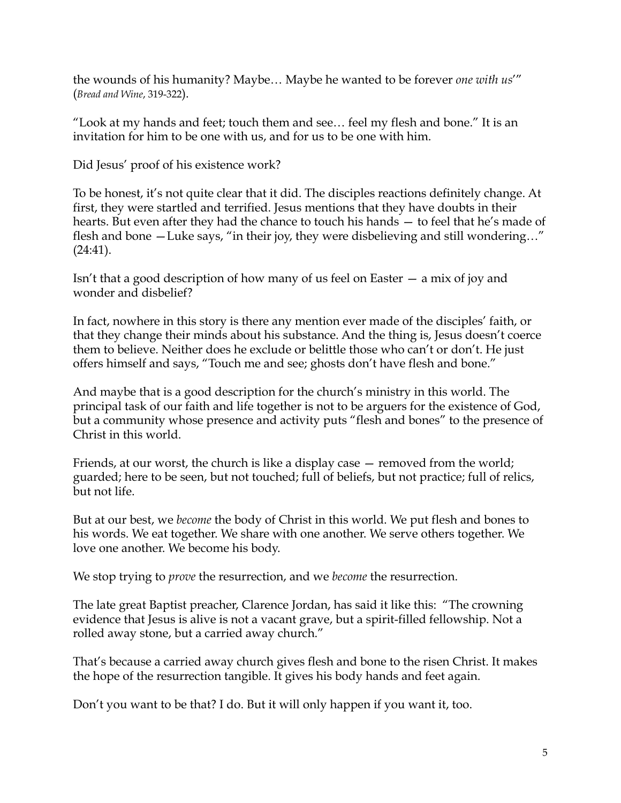the wounds of his humanity? Maybe… Maybe he wanted to be forever *one with us*'" (*Bread and Wine*, 319-322).

"Look at my hands and feet; touch them and see… feel my flesh and bone." It is an invitation for him to be one with us, and for us to be one with him.

Did Jesus' proof of his existence work?

To be honest, it's not quite clear that it did. The disciples reactions definitely change. At first, they were startled and terrified. Jesus mentions that they have doubts in their hearts. But even after they had the chance to touch his hands — to feel that he's made of flesh and bone —Luke says, "in their joy, they were disbelieving and still wondering…" (24:41).

Isn't that a good description of how many of us feel on Easter — a mix of joy and wonder and disbelief?

In fact, nowhere in this story is there any mention ever made of the disciples' faith, or that they change their minds about his substance. And the thing is, Jesus doesn't coerce them to believe. Neither does he exclude or belittle those who can't or don't. He just offers himself and says, "Touch me and see; ghosts don't have flesh and bone."

And maybe that is a good description for the church's ministry in this world. The principal task of our faith and life together is not to be arguers for the existence of God, but a community whose presence and activity puts "flesh and bones" to the presence of Christ in this world.

Friends, at our worst, the church is like a display case — removed from the world; guarded; here to be seen, but not touched; full of beliefs, but not practice; full of relics, but not life.

But at our best, we *become* the body of Christ in this world. We put flesh and bones to his words. We eat together. We share with one another. We serve others together. We love one another. We become his body.

We stop trying to *prove* the resurrection, and we *become* the resurrection.

The late great Baptist preacher, Clarence Jordan, has said it like this: "The crowning evidence that Jesus is alive is not a vacant grave, but a spirit-filled fellowship. Not a rolled away stone, but a carried away church."

That's because a carried away church gives flesh and bone to the risen Christ. It makes the hope of the resurrection tangible. It gives his body hands and feet again.

Don't you want to be that? I do. But it will only happen if you want it, too.